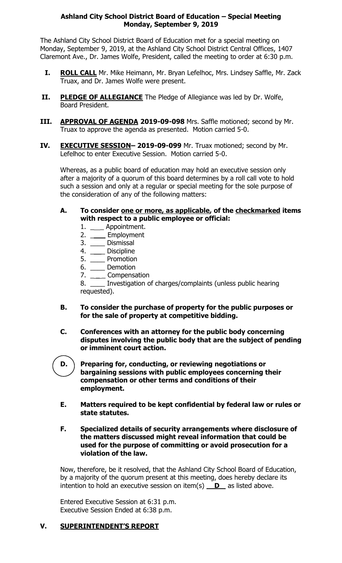## **Ashland City School District Board of Education – Special Meeting Monday, September 9, 2019**

The Ashland City School District Board of Education met for a special meeting on Monday, September 9, 2019, at the Ashland City School District Central Offices, 1407 Claremont Ave., Dr. James Wolfe, President, called the meeting to order at 6:30 p.m.

- **I. ROLL CALL** Mr. Mike Heimann, Mr. Bryan Lefelhoc, Mrs. Lindsey Saffle, Mr. Zack Truax, and Dr. James Wolfe were present.
- **II. PLEDGE OF ALLEGIANCE** The Pledge of Allegiance was led by Dr. Wolfe, Board President.
- **III. APPROVAL OF AGENDA 2019-09-098** Mrs. Saffle motioned; second by Mr. Truax to approve the agenda as presented. Motion carried 5-0.
- **IV. EXECUTIVE SESSION-2019-09-099** Mr. Truax motioned; second by Mr. Lefelhoc to enter Executive Session. Motion carried 5-0.

Whereas, as a public board of education may hold an executive session only after a majority of a quorum of this board determines by a roll call vote to hold such a session and only at a regular or special meeting for the sole purpose of the consideration of any of the following matters:

- **A. To consider one or more, as applicable, of the checkmarked items with respect to a public employee or official:**
	- 1. \_\_\_\_ Appointment.
	- 2. \_\_\_\_ Employment
	- 3. \_\_\_\_ Dismissal
	- 4. \_\_\_\_\_ Discipline
	- 5. \_\_\_\_\_ Promotion
	- 6. \_\_\_\_ Demotion
	- 7. \_\_\_\_ Compensation

8. \_\_\_\_ Investigation of charges/complaints (unless public hearing requested).

- **B. To consider the purchase of property for the public purposes or for the sale of property at competitive bidding.**
- **C. Conferences with an attorney for the public body concerning disputes involving the public body that are the subject of pending or imminent court action.**
- **D. Preparing for, conducting, or reviewing negotiations or bargaining sessions with public employees concerning their compensation or other terms and conditions of their employment.**
- **E. Matters required to be kept confidential by federal law or rules or state statutes.**
- **F. Specialized details of security arrangements where disclosure of the matters discussed might reveal information that could be used for the purpose of committing or avoid prosecution for a violation of the law.**

Now, therefore, be it resolved, that the Ashland City School Board of Education, by a majority of the quorum present at this meeting, does hereby declare its intention to hold an executive session on item(s)  $\overline{\mathbf{D}}$  as listed above.

Entered Executive Session at 6:31 p.m. Executive Session Ended at 6:38 p.m.

## **V. SUPERINTENDENT'S REPORT**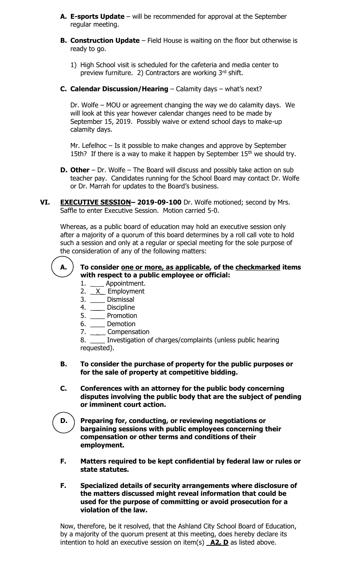- **A. E-sports Update** will be recommended for approval at the September regular meeting.
- **B. Construction Update** Field House is waiting on the floor but otherwise is ready to go.
	- 1) High School visit is scheduled for the cafeteria and media center to preview furniture. 2) Contractors are working 3<sup>rd</sup> shift.
- **C. Calendar Discussion/Hearing**  Calamity days what's next?

Dr. Wolfe – MOU or agreement changing the way we do calamity days. We will look at this year however calendar changes need to be made by September 15, 2019. Possibly waive or extend school days to make-up calamity days.

Mr. Lefelhoc – Is it possible to make changes and approve by September 15th? If there is a way to make it happen by September  $15<sup>th</sup>$  we should try.

- **D. Other** Dr. Wolfe The Board will discuss and possibly take action on sub teacher pay. Candidates running for the School Board may contact Dr. Wolfe or Dr. Marrah for updates to the Board's business.
- **VI. EXECUTIVE SESSION– 2019-09-100** Dr. Wolfe motioned; second by Mrs. Saffle to enter Executive Session. Motion carried 5-0.

Whereas, as a public board of education may hold an executive session only after a majority of a quorum of this board determines by a roll call vote to hold such a session and only at a regular or special meeting for the sole purpose of the consideration of any of the following matters:



## **A. To consider one or more, as applicable, of the checkmarked items with respect to a public employee or official:**

- 1. Appointment.
- 2.  $X$  Employment
- 3. \_\_\_\_ Dismissal
- 4. \_\_\_\_ Discipline
- 5. \_\_\_\_ Promotion
- 6. \_\_\_\_ Demotion
- 7. \_\_\_\_\_ Compensation

8. Investigation of charges/complaints (unless public hearing requested).

- **B. To consider the purchase of property for the public purposes or for the sale of property at competitive bidding.**
- **C. Conferences with an attorney for the public body concerning disputes involving the public body that are the subject of pending or imminent court action.**
- **D. Preparing for, conducting, or reviewing negotiations or bargaining sessions with public employees concerning their compensation or other terms and conditions of their employment.**
- **F. Matters required to be kept confidential by federal law or rules or state statutes.**
- **F. Specialized details of security arrangements where disclosure of the matters discussed might reveal information that could be used for the purpose of committing or avoid prosecution for a violation of the law.**

Now, therefore, be it resolved, that the Ashland City School Board of Education, by a majority of the quorum present at this meeting, does hereby declare its intention to hold an executive session on item(s) **A2, D** as listed above.